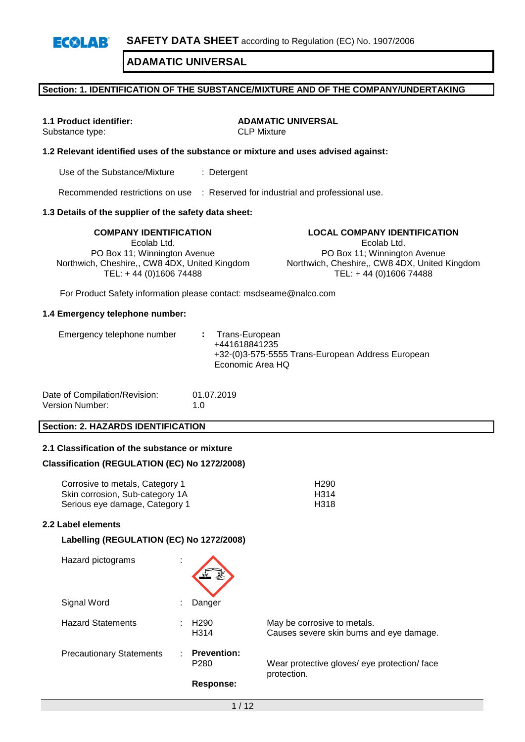## **Section: 1. IDENTIFICATION OF THE SUBSTANCE/MIXTURE AND OF THE COMPANY/UNDERTAKING**

Substance type:

**1.1 Product identifier: ADAMATIC UNIVERSAL**

#### **1.2 Relevant identified uses of the substance or mixture and uses advised against:**

Use of the Substance/Mixture : Detergent

Recommended restrictions on use : Reserved for industrial and professional use.

#### **1.3 Details of the supplier of the safety data sheet:**

**COMPANY IDENTIFICATION LOCAL COMPANY IDENTIFICATION** Ecolab Ltd. PO Box 11; Winnington Avenue Northwich, Cheshire,, CW8 4DX, United Kingdom TEL: + 44 (0)1606 74488

Ecolab Ltd. PO Box 11; Winnington Avenue

Northwich, Cheshire,, CW8 4DX, United Kingdom TEL: + 44 (0)1606 74488

For Product Safety information please contact: msdseame@nalco.com

#### **1.4 Emergency telephone number:**

| Emergency telephone number |  | : Trans-European<br>+441618841235<br>+32-(0)3-575-5555 Trans-European Address European<br>Economic Area HQ |
|----------------------------|--|------------------------------------------------------------------------------------------------------------|
|----------------------------|--|------------------------------------------------------------------------------------------------------------|

| Date of Compilation/Revision: | 01.07.2019 |
|-------------------------------|------------|
| Version Number:               | 1.0        |

## **Section: 2. HAZARDS IDENTIFICATION**

#### **2.1 Classification of the substance or mixture**

#### **Classification (REGULATION (EC) No 1272/2008)**

| Corrosive to metals, Category 1 | H <sub>290</sub> |
|---------------------------------|------------------|
| Skin corrosion, Sub-category 1A | H314             |
| Serious eye damage, Category 1  | H318             |

#### **2.2 Label elements**

#### **Labelling (REGULATION (EC) No 1272/2008)**

| Hazard pictograms               | ٠.<br>$\mathbf{r}$ |                                        |                                                                         |
|---------------------------------|--------------------|----------------------------------------|-------------------------------------------------------------------------|
| Signal Word                     |                    | Danger                                 |                                                                         |
| <b>Hazard Statements</b>        |                    | H <sub>290</sub><br>H <sub>3</sub> 14  | May be corrosive to metals.<br>Causes severe skin burns and eye damage. |
| <b>Precautionary Statements</b> |                    | <b>Prevention:</b><br>P <sub>280</sub> | Wear protective gloves/ eye protection/ face<br>protection.             |
|                                 |                    | Response:                              |                                                                         |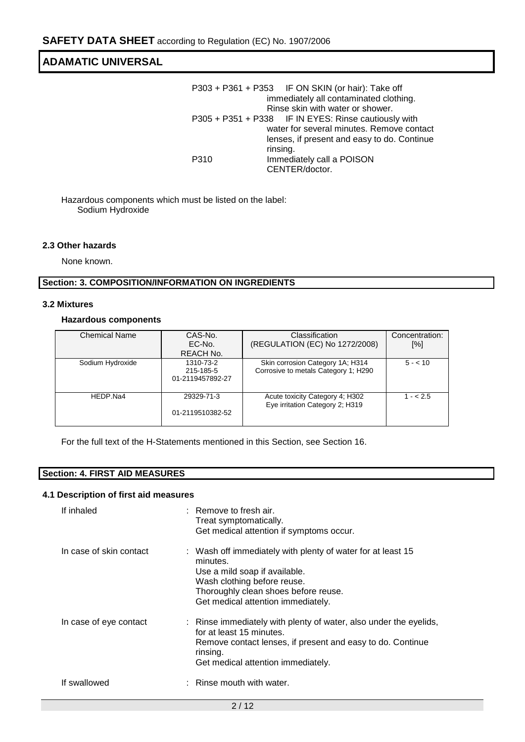|      | P303 + P361 + P353 IF ON SKIN (or hair): Take off    |
|------|------------------------------------------------------|
|      | immediately all contaminated clothing.               |
|      | Rinse skin with water or shower.                     |
|      | P305 + P351 + P338 IF IN EYES: Rinse cautiously with |
|      | water for several minutes. Remove contact            |
|      | lenses, if present and easy to do. Continue          |
|      | rinsing.                                             |
| P310 | Immediately call a POISON                            |
|      | CENTER/doctor.                                       |

Hazardous components which must be listed on the label: Sodium Hydroxide

## **2.3 Other hazards**

None known.

## **Section: 3. COMPOSITION/INFORMATION ON INGREDIENTS**

#### **3.2 Mixtures**

## **Hazardous components**

| <b>Chemical Name</b> | CAS-No.          | Classification                                                     | Concentration: |
|----------------------|------------------|--------------------------------------------------------------------|----------------|
|                      | EC-No.           | (REGULATION (EC) No 1272/2008)                                     | [%]            |
|                      | REACH No.        |                                                                    |                |
| Sodium Hydroxide     | 1310-73-2        | Skin corrosion Category 1A; H314                                   | $5 - 10$       |
|                      | 215-185-5        | Corrosive to metals Category 1; H290                               |                |
|                      | 01-2119457892-27 |                                                                    |                |
|                      |                  |                                                                    |                |
| HEDP.Na4             | 29329-71-3       | Acute toxicity Category 4; H302<br>Eye irritation Category 2; H319 | $1 - 2.5$      |
|                      | 01-2119510382-52 |                                                                    |                |
|                      |                  |                                                                    |                |

For the full text of the H-Statements mentioned in this Section, see Section 16.

## **Section: 4. FIRST AID MEASURES**

## **4.1 Description of first aid measures**

| If inhaled              | $:$ Remove to fresh air.<br>Treat symptomatically.<br>Get medical attention if symptoms occur.                                                                                                                        |
|-------------------------|-----------------------------------------------------------------------------------------------------------------------------------------------------------------------------------------------------------------------|
| In case of skin contact | : Wash off immediately with plenty of water for at least 15<br>minutes.<br>Use a mild soap if available.<br>Wash clothing before reuse.<br>Thoroughly clean shoes before reuse.<br>Get medical attention immediately. |
| In case of eye contact  | : Rinse immediately with plenty of water, also under the eyelids,<br>for at least 15 minutes.<br>Remove contact lenses, if present and easy to do. Continue<br>rinsing.<br>Get medical attention immediately.         |
| If swallowed            | $:$ Rinse mouth with water.                                                                                                                                                                                           |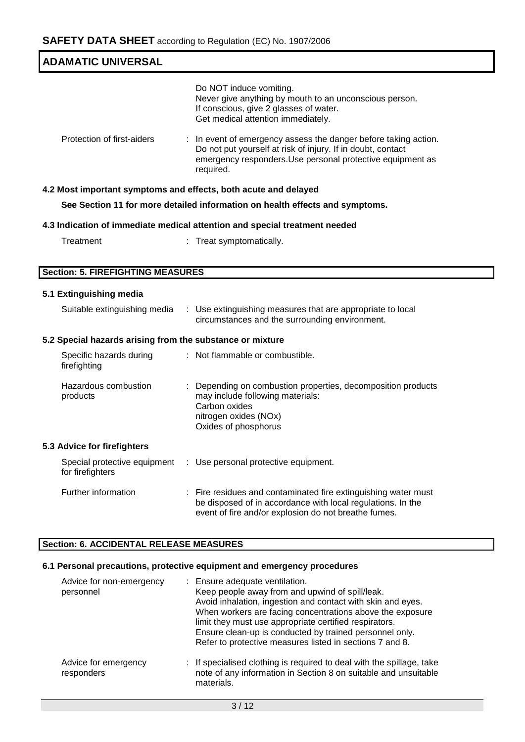| <b>ADAMATIC UNIVERSAL</b>                                 |  |                                                                                                                                                                                                           |  |  |  |
|-----------------------------------------------------------|--|-----------------------------------------------------------------------------------------------------------------------------------------------------------------------------------------------------------|--|--|--|
|                                                           |  | Do NOT induce vomiting.<br>Never give anything by mouth to an unconscious person.<br>If conscious, give 2 glasses of water.<br>Get medical attention immediately.                                         |  |  |  |
| Protection of first-aiders                                |  | : In event of emergency assess the danger before taking action.<br>Do not put yourself at risk of injury. If in doubt, contact<br>emergency responders. Use personal protective equipment as<br>required. |  |  |  |
|                                                           |  | 4.2 Most important symptoms and effects, both acute and delayed                                                                                                                                           |  |  |  |
|                                                           |  | See Section 11 for more detailed information on health effects and symptoms.                                                                                                                              |  |  |  |
|                                                           |  | 4.3 Indication of immediate medical attention and special treatment needed                                                                                                                                |  |  |  |
| Treatment                                                 |  | Treat symptomatically.                                                                                                                                                                                    |  |  |  |
|                                                           |  |                                                                                                                                                                                                           |  |  |  |
| <b>Section: 5. FIREFIGHTING MEASURES</b>                  |  |                                                                                                                                                                                                           |  |  |  |
| 5.1 Extinguishing media                                   |  |                                                                                                                                                                                                           |  |  |  |
| Suitable extinguishing media                              |  | : Use extinguishing measures that are appropriate to local<br>circumstances and the surrounding environment.                                                                                              |  |  |  |
| 5.2 Special hazards arising from the substance or mixture |  |                                                                                                                                                                                                           |  |  |  |
| Specific hazards during<br>firefighting                   |  | : Not flammable or combustible.                                                                                                                                                                           |  |  |  |
| Hazardous combustion<br>products                          |  | Depending on combustion properties, decomposition products<br>may include following materials:<br>Carbon oxides<br>nitrogen oxides (NOx)<br>Oxides of phosphorus                                          |  |  |  |
| 5.3 Advice for firefighters                               |  |                                                                                                                                                                                                           |  |  |  |
| Special protective equipment<br>for firefighters          |  | : Use personal protective equipment.                                                                                                                                                                      |  |  |  |
| Further information                                       |  | Fire residues and contaminated fire extinguishing water must<br>be disposed of in accordance with local regulations. In the<br>event of fire and/or explosion do not breathe fumes.                       |  |  |  |

# **Section: 6. ACCIDENTAL RELEASE MEASURES**

# **6.1 Personal precautions, protective equipment and emergency procedures**

| Advice for non-emergency<br>personnel | : Ensure adequate ventilation.<br>Keep people away from and upwind of spill/leak.<br>Avoid inhalation, ingestion and contact with skin and eyes.<br>When workers are facing concentrations above the exposure<br>limit they must use appropriate certified respirators.<br>Ensure clean-up is conducted by trained personnel only.<br>Refer to protective measures listed in sections 7 and 8. |
|---------------------------------------|------------------------------------------------------------------------------------------------------------------------------------------------------------------------------------------------------------------------------------------------------------------------------------------------------------------------------------------------------------------------------------------------|
| Advice for emergency<br>responders    | : If specialised clothing is required to deal with the spillage, take<br>note of any information in Section 8 on suitable and unsuitable<br>materials.                                                                                                                                                                                                                                         |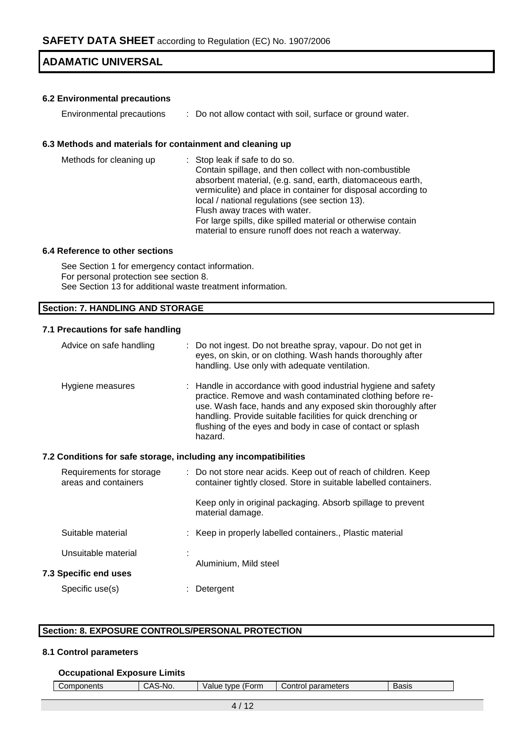## **6.2 Environmental precautions**

| Environmental precautions |  | Do not allow contact with soil, surface or ground water. |  |
|---------------------------|--|----------------------------------------------------------|--|
|---------------------------|--|----------------------------------------------------------|--|

## **6.3 Methods and materials for containment and cleaning up**

| Methods for cleaning up | : Stop leak if safe to do so.<br>Contain spillage, and then collect with non-combustible<br>absorbent material, (e.g. sand, earth, diatomaceous earth,<br>vermiculite) and place in container for disposal according to<br>local / national regulations (see section 13).<br>Flush away traces with water.<br>For large spills, dike spilled material or otherwise contain<br>material to ensure runoff does not reach a waterway. |
|-------------------------|------------------------------------------------------------------------------------------------------------------------------------------------------------------------------------------------------------------------------------------------------------------------------------------------------------------------------------------------------------------------------------------------------------------------------------|
|-------------------------|------------------------------------------------------------------------------------------------------------------------------------------------------------------------------------------------------------------------------------------------------------------------------------------------------------------------------------------------------------------------------------------------------------------------------------|

## **6.4 Reference to other sections**

See Section 1 for emergency contact information. For personal protection see section 8. See Section 13 for additional waste treatment information.

## **Section: 7. HANDLING AND STORAGE**

## **7.1 Precautions for safe handling**

|                              | Advice on safe handling                                          | : Do not ingest. Do not breathe spray, vapour. Do not get in<br>eyes, on skin, or on clothing. Wash hands thoroughly after<br>handling. Use only with adequate ventilation.                                                                                                                                                          |  |
|------------------------------|------------------------------------------------------------------|--------------------------------------------------------------------------------------------------------------------------------------------------------------------------------------------------------------------------------------------------------------------------------------------------------------------------------------|--|
|                              | Hygiene measures                                                 | : Handle in accordance with good industrial hygiene and safety<br>practice. Remove and wash contaminated clothing before re-<br>use. Wash face, hands and any exposed skin thoroughly after<br>handling. Provide suitable facilities for quick drenching or<br>flushing of the eyes and body in case of contact or splash<br>hazard. |  |
|                              | 7.2 Conditions for safe storage, including any incompatibilities |                                                                                                                                                                                                                                                                                                                                      |  |
|                              | Requirements for storage<br>areas and containers                 | : Do not store near acids. Keep out of reach of children. Keep<br>container tightly closed. Store in suitable labelled containers.                                                                                                                                                                                                   |  |
|                              |                                                                  | Keep only in original packaging. Absorb spillage to prevent<br>material damage.                                                                                                                                                                                                                                                      |  |
|                              | Suitable material                                                | : Keep in properly labelled containers., Plastic material                                                                                                                                                                                                                                                                            |  |
|                              | Unsuitable material                                              | Aluminium, Mild steel                                                                                                                                                                                                                                                                                                                |  |
| <b>7.3 Specific end uses</b> |                                                                  |                                                                                                                                                                                                                                                                                                                                      |  |
|                              | Specific use(s)                                                  | Detergent                                                                                                                                                                                                                                                                                                                            |  |

## **Section: 8. EXPOSURE CONTROLS/PERSONAL PROTECTION**

## **8.1 Control parameters**

## **Occupational Exposure Limits**

| (Form<br>parameters<br>Components<br>∻No.<br>tvpe<br><b>Basis</b><br>alue!<br>onr,<br>.<br>┄ |
|----------------------------------------------------------------------------------------------|
|----------------------------------------------------------------------------------------------|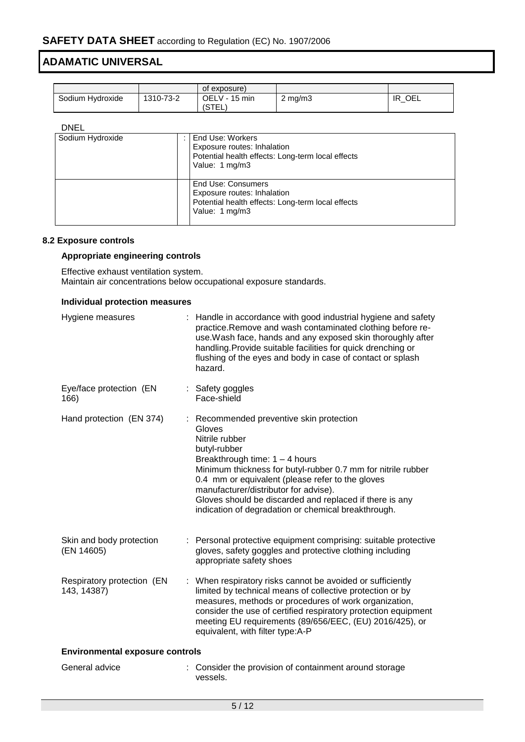|                  |           | of exposure)                           |                  |           |
|------------------|-----------|----------------------------------------|------------------|-----------|
| Sodium Hydroxide | 1310-73-2 | OELV -<br>15 min<br>וחדף/<br>د ا<br>-⊢ | $2 \text{ mg/m}$ | OEL<br>IR |

## DNEL

| Sodium Hydroxide |  | End Use: Workers<br>Exposure routes: Inhalation<br>Potential health effects: Long-term local effects<br>Value: 1 mg/m3   |
|------------------|--|--------------------------------------------------------------------------------------------------------------------------|
|                  |  | End Use: Consumers<br>Exposure routes: Inhalation<br>Potential health effects: Long-term local effects<br>Value: 1 mg/m3 |

## **8.2 Exposure controls**

## **Appropriate engineering controls**

Effective exhaust ventilation system. Maintain air concentrations below occupational exposure standards.

## **Individual protection measures**

| Hygiene measures                          |                                                                                                                                                                                                                                                                                                                                                   | : Handle in accordance with good industrial hygiene and safety<br>practice. Remove and wash contaminated clothing before re-<br>use. Wash face, hands and any exposed skin thoroughly after<br>handling. Provide suitable facilities for quick drenching or<br>flushing of the eyes and body in case of contact or splash<br>hazard.                                                                    |
|-------------------------------------------|---------------------------------------------------------------------------------------------------------------------------------------------------------------------------------------------------------------------------------------------------------------------------------------------------------------------------------------------------|---------------------------------------------------------------------------------------------------------------------------------------------------------------------------------------------------------------------------------------------------------------------------------------------------------------------------------------------------------------------------------------------------------|
| Eye/face protection (EN<br>166)           |                                                                                                                                                                                                                                                                                                                                                   | : Safety goggles<br>Face-shield                                                                                                                                                                                                                                                                                                                                                                         |
| Hand protection (EN 374)                  |                                                                                                                                                                                                                                                                                                                                                   | : Recommended preventive skin protection<br>Gloves<br>Nitrile rubber<br>butyl-rubber<br>Breakthrough time: $1 - 4$ hours<br>Minimum thickness for butyl-rubber 0.7 mm for nitrile rubber<br>0.4 mm or equivalent (please refer to the gloves<br>manufacturer/distributor for advise).<br>Gloves should be discarded and replaced if there is any<br>indication of degradation or chemical breakthrough. |
| Skin and body protection<br>(EN 14605)    |                                                                                                                                                                                                                                                                                                                                                   | : Personal protective equipment comprising: suitable protective<br>gloves, safety goggles and protective clothing including<br>appropriate safety shoes                                                                                                                                                                                                                                                 |
| Respiratory protection (EN<br>143, 14387) | : When respiratory risks cannot be avoided or sufficiently<br>limited by technical means of collective protection or by<br>measures, methods or procedures of work organization,<br>consider the use of certified respiratory protection equipment<br>meeting EU requirements (89/656/EEC, (EU) 2016/425), or<br>equivalent, with filter type:A-P |                                                                                                                                                                                                                                                                                                                                                                                                         |
| <b>Environmental exposure controls</b>    |                                                                                                                                                                                                                                                                                                                                                   |                                                                                                                                                                                                                                                                                                                                                                                                         |
| General advice                            |                                                                                                                                                                                                                                                                                                                                                   | Consider the provision of containment around storage<br>vessels.                                                                                                                                                                                                                                                                                                                                        |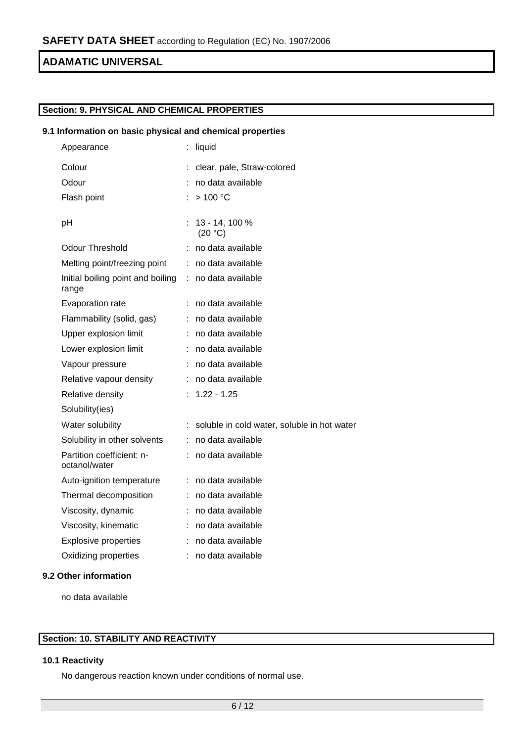## **Section: 9. PHYSICAL AND CHEMICAL PROPERTIES**

## **9.1 Information on basic physical and chemical properties**

| Appearance                                 | t. | liquid                                      |
|--------------------------------------------|----|---------------------------------------------|
| Colour                                     | ÷  | clear, pale, Straw-colored                  |
| Odour                                      |    | no data available                           |
| Flash point                                |    | >100 °C                                     |
| pH                                         |    | 13 - 14, 100 %<br>(20 °C)                   |
| Odour Threshold                            |    | no data available                           |
| Melting point/freezing point               | ÷. | no data available                           |
| Initial boiling point and boiling<br>range | ÷. | no data available                           |
| Evaporation rate                           |    | no data available                           |
| Flammability (solid, gas)                  | t. | no data available                           |
| Upper explosion limit                      | t. | no data available                           |
| Lower explosion limit                      |    | no data available                           |
| Vapour pressure                            |    | no data available                           |
| Relative vapour density                    | t. | no data available                           |
| Relative density                           |    | $1.22 - 1.25$                               |
| Solubility(ies)                            |    |                                             |
| Water solubility                           |    | soluble in cold water, soluble in hot water |
| Solubility in other solvents               |    | no data available                           |
| Partition coefficient: n-<br>octanol/water | t. | no data available                           |
| Auto-ignition temperature                  |    | : no data available                         |
| Thermal decomposition                      |    | no data available                           |
| Viscosity, dynamic                         | t. | no data available                           |
| Viscosity, kinematic                       | t. | no data available                           |
| <b>Explosive properties</b>                | ÷. | no data available                           |
| Oxidizing properties                       | ÷  | no data available                           |
|                                            |    |                                             |

## **9.2 Other information**

no data available

## **Section: 10. STABILITY AND REACTIVITY**

## **10.1 Reactivity**

No dangerous reaction known under conditions of normal use.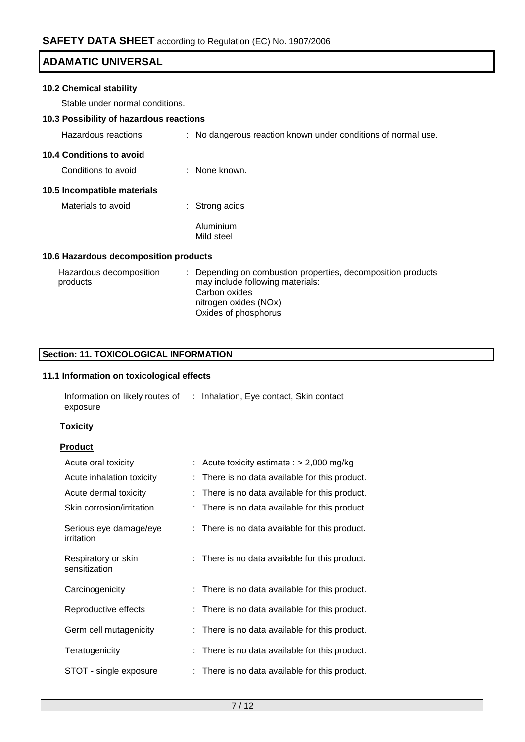# **10.2 Chemical stability** Stable under normal conditions. **10.3 Possibility of hazardous reactions** Hazardous reactions : No dangerous reaction known under conditions of normal use. **10.4 Conditions to avoid** Conditions to avoid : None known. **10.5 Incompatible materials** Materials to avoid : Strong acids Aluminium Mild steel **10.6 Hazardous decomposition products** Hazardous decomposition products : Depending on combustion properties, decomposition products may include following materials: Carbon oxides

nitrogen oxides (NOx) Oxides of phosphorus

## **Section: 11. TOXICOLOGICAL INFORMATION**

#### **11.1 Information on toxicological effects**

| Information on likely routes of | : Inhalation, Eye contact, Skin contact |  |
|---------------------------------|-----------------------------------------|--|
| exposure                        |                                         |  |

#### **Toxicity**

## **Product**

| Acute oral toxicity                  | : Acute toxicity estimate : $> 2,000$ mg/kg    |
|--------------------------------------|------------------------------------------------|
| Acute inhalation toxicity            | There is no data available for this product.   |
| Acute dermal toxicity                | There is no data available for this product.   |
| Skin corrosion/irritation            | : There is no data available for this product. |
| Serious eye damage/eye<br>irritation | There is no data available for this product.   |
| Respiratory or skin<br>sensitization | : There is no data available for this product. |
| Carcinogenicity                      | : There is no data available for this product. |
| Reproductive effects                 | : There is no data available for this product. |
| Germ cell mutagenicity               | : There is no data available for this product. |
| Teratogenicity                       | : There is no data available for this product. |
| STOT - single exposure               | : There is no data available for this product. |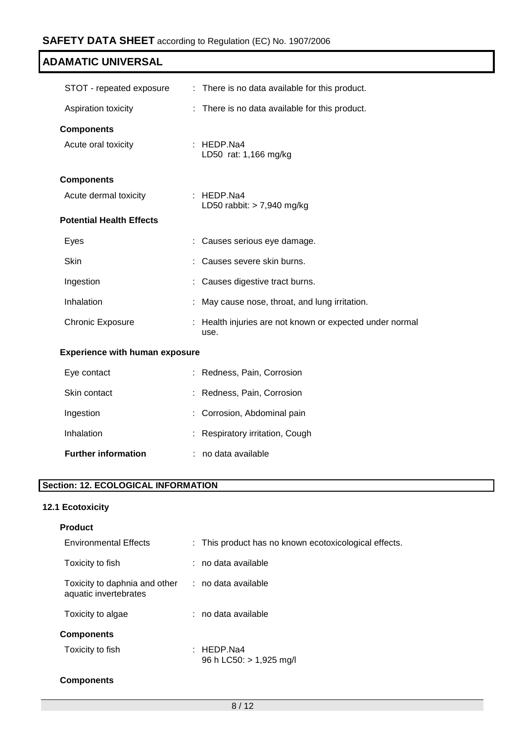| STOT - repeated exposure              | : There is no data available for this product.                 |
|---------------------------------------|----------------------------------------------------------------|
| Aspiration toxicity                   | : There is no data available for this product.                 |
| <b>Components</b>                     |                                                                |
| Acute oral toxicity                   | : HEDP.Na4<br>LD50 rat: 1,166 mg/kg                            |
| <b>Components</b>                     |                                                                |
| Acute dermal toxicity                 | : HEDP.Na4<br>LD50 rabbit: $> 7,940$ mg/kg                     |
| <b>Potential Health Effects</b>       |                                                                |
| Eyes                                  | Causes serious eye damage.                                     |
| <b>Skin</b>                           | Causes severe skin burns.                                      |
| Ingestion                             | Causes digestive tract burns.                                  |
| Inhalation                            | May cause nose, throat, and lung irritation.                   |
| <b>Chronic Exposure</b>               | Health injuries are not known or expected under normal<br>use. |
| <b>Experience with human exposure</b> |                                                                |
| Eye contact                           | Redness, Pain, Corrosion                                       |
| Skin contact                          | Redness, Pain, Corrosion                                       |
| Ingestion                             | Corrosion, Abdominal pain                                      |
|                                       |                                                                |

| Inhalation | Respiratory irritation, Cough |  |
|------------|-------------------------------|--|
|            |                               |  |

| <b>Further information</b> | no data available |
|----------------------------|-------------------|
|----------------------------|-------------------|

# **Section: 12. ECOLOGICAL INFORMATION**

# **12.1 Ecotoxicity**

| <b>Product</b>                                                             |                                                       |
|----------------------------------------------------------------------------|-------------------------------------------------------|
| <b>Environmental Effects</b>                                               | : This product has no known ecotoxicological effects. |
| Toxicity to fish                                                           | : no data available                                   |
| Toxicity to daphnia and other : no data available<br>aquatic invertebrates |                                                       |
| Toxicity to algae                                                          | : no data available                                   |
| <b>Components</b>                                                          |                                                       |
| Toxicity to fish                                                           | $\therefore$ HEDP Na4<br>96 h LC50: > 1,925 mg/l      |
| <b>Components</b>                                                          |                                                       |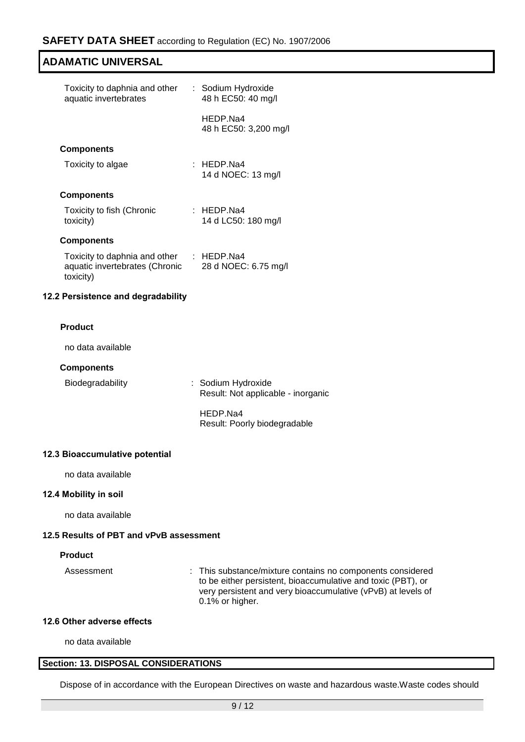| Toxicity to daphnia and other<br>aquatic invertebrates                       | : Sodium Hydroxide<br>48 h EC50: 40 mg/l |
|------------------------------------------------------------------------------|------------------------------------------|
|                                                                              | HEDP Na4<br>48 h EC50: 3,200 mg/l        |
| <b>Components</b>                                                            |                                          |
| Toxicity to algae                                                            | : HEDP.Na4<br>14 d NOEC: 13 mg/l         |
| <b>Components</b>                                                            |                                          |
| Toxicity to fish (Chronic<br>toxicity)                                       | : HEDP.Na4<br>14 d LC50: 180 mg/l        |
| <b>Components</b>                                                            |                                          |
| Toxicity to daphnia and other<br>aquatic invertebrates (Chronic<br>toxicity) | $\pm$ HEDP.Na4<br>28 d NOEC: 6.75 mg/l   |

## **12.2 Persistence and degradability**

## **Product**

no data available

## **Components**

Biodegradability : Sodium Hydroxide Result: Not applicable - inorganic

> HEDP.Na4 Result: Poorly biodegradable

## **12.3 Bioaccumulative potential**

no data available

#### **12.4 Mobility in soil**

no data available

## **12.5 Results of PBT and vPvB assessment**

## **Product**

Assessment : This substance/mixture contains no components considered to be either persistent, bioaccumulative and toxic (PBT), or very persistent and very bioaccumulative (vPvB) at levels of 0.1% or higher.

## **12.6 Other adverse effects**

no data available

## **Section: 13. DISPOSAL CONSIDERATIONS**

Dispose of in accordance with the European Directives on waste and hazardous waste.Waste codes should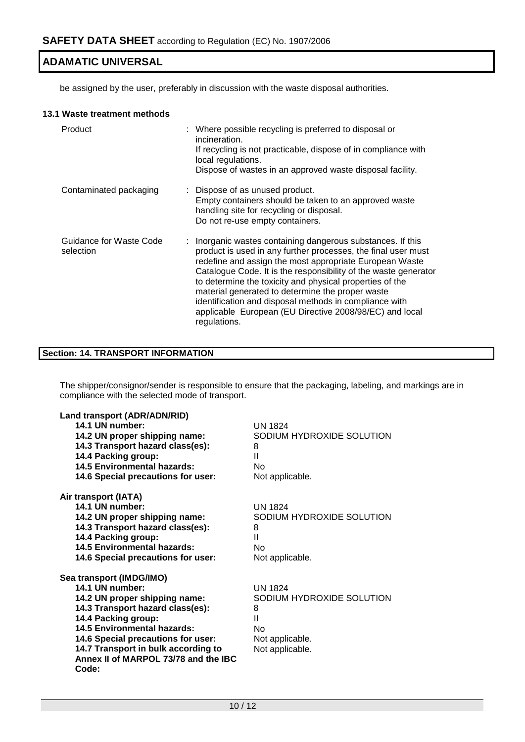be assigned by the user, preferably in discussion with the waste disposal authorities.

## **13.1 Waste treatment methods**

| Product                              | : Where possible recycling is preferred to disposal or<br>incineration.<br>If recycling is not practicable, dispose of in compliance with<br>local regulations.<br>Dispose of wastes in an approved waste disposal facility.                                                                                                                                                                                                                                                                                    |
|--------------------------------------|-----------------------------------------------------------------------------------------------------------------------------------------------------------------------------------------------------------------------------------------------------------------------------------------------------------------------------------------------------------------------------------------------------------------------------------------------------------------------------------------------------------------|
| Contaminated packaging               | : Dispose of as unused product.<br>Empty containers should be taken to an approved waste<br>handling site for recycling or disposal.<br>Do not re-use empty containers.                                                                                                                                                                                                                                                                                                                                         |
| Guidance for Waste Code<br>selection | : Inorganic wastes containing dangerous substances. If this<br>product is used in any further processes, the final user must<br>redefine and assign the most appropriate European Waste<br>Catalogue Code. It is the responsibility of the waste generator<br>to determine the toxicity and physical properties of the<br>material generated to determine the proper waste<br>identification and disposal methods in compliance with<br>applicable European (EU Directive 2008/98/EC) and local<br>regulations. |

## **Section: 14. TRANSPORT INFORMATION**

The shipper/consignor/sender is responsible to ensure that the packaging, labeling, and markings are in compliance with the selected mode of transport.

| Land transport (ADR/ADN/RID)         |                           |
|--------------------------------------|---------------------------|
| 14.1 UN number:                      | <b>UN 1824</b>            |
| 14.2 UN proper shipping name:        | SODIUM HYDROXIDE SOLUTION |
| 14.3 Transport hazard class(es):     | 8                         |
| 14.4 Packing group:                  | Ш                         |
| <b>14.5 Environmental hazards:</b>   | No                        |
| 14.6 Special precautions for user:   | Not applicable.           |
| Air transport (IATA)                 |                           |
| 14.1 UN number:                      | UN 1824                   |
| 14.2 UN proper shipping name:        | SODIUM HYDROXIDE SOLUTION |
| 14.3 Transport hazard class(es):     | 8                         |
| 14.4 Packing group:                  | Ш                         |
| 14.5 Environmental hazards:          | Nο                        |
| 14.6 Special precautions for user:   | Not applicable.           |
| Sea transport (IMDG/IMO)             |                           |
| 14.1 UN number:                      | <b>UN 1824</b>            |
| 14.2 UN proper shipping name:        | SODIUM HYDROXIDE SOLUTION |
| 14.3 Transport hazard class(es):     | 8                         |
| 14.4 Packing group:                  | Ш                         |
| <b>14.5 Environmental hazards:</b>   | No                        |
| 14.6 Special precautions for user:   | Not applicable.           |
| 14.7 Transport in bulk according to  | Not applicable.           |
| Annex II of MARPOL 73/78 and the IBC |                           |
| Code:                                |                           |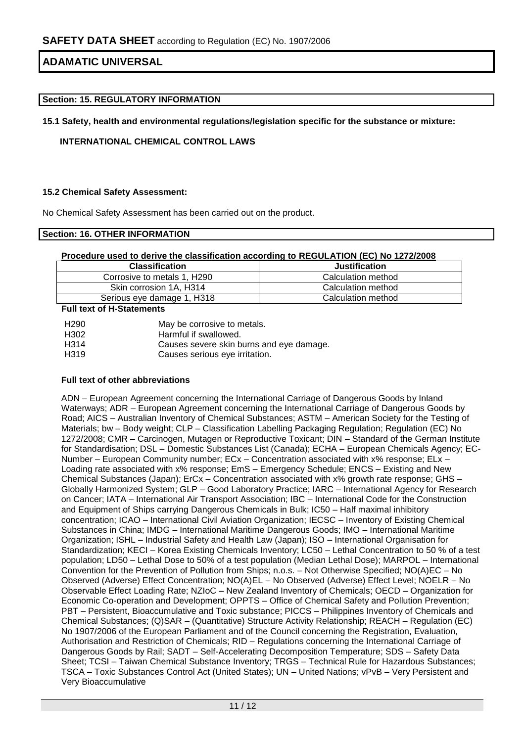## **Section: 15. REGULATORY INFORMATION**

**15.1 Safety, health and environmental regulations/legislation specific for the substance or mixture:**

**INTERNATIONAL CHEMICAL CONTROL LAWS**

#### **15.2 Chemical Safety Assessment:**

No Chemical Safety Assessment has been carried out on the product.

## **Section: 16. OTHER INFORMATION**

## **Procedure used to derive the classification according to REGULATION (EC) No 1272/2008**

| <b>Classification</b>       | <b>Justification</b> |
|-----------------------------|----------------------|
| Corrosive to metals 1, H290 | Calculation method   |
| Skin corrosion 1A, H314     | Calculation method   |
| Serious eye damage 1, H318  | Calculation method   |

**Full text of H-Statements**

| H <sub>290</sub>  | May be corrosive to metals.              |
|-------------------|------------------------------------------|
| H302              | Harmful if swallowed.                    |
| H <sub>314</sub>  | Causes severe skin burns and eye damage. |
| H <sub>3</sub> 19 | Causes serious eye irritation.           |

## **Full text of other abbreviations**

ADN – European Agreement concerning the International Carriage of Dangerous Goods by Inland Waterways; ADR – European Agreement concerning the International Carriage of Dangerous Goods by Road; AICS – Australian Inventory of Chemical Substances; ASTM – American Society for the Testing of Materials; bw - Body weight; CLP - Classification Labelling Packaging Regulation; Regulation (EC) No 1272/2008; CMR – Carcinogen, Mutagen or Reproductive Toxicant; DIN – Standard of the German Institute for Standardisation; DSL – Domestic Substances List (Canada); ECHA – European Chemicals Agency; EC-Number – European Community number; ECx – Concentration associated with x% response; ELx – Loading rate associated with x% response; EmS – Emergency Schedule; ENCS – Existing and New Chemical Substances (Japan); ErCx – Concentration associated with x% growth rate response; GHS – Globally Harmonized System; GLP – Good Laboratory Practice; IARC – International Agency for Research on Cancer; IATA – International Air Transport Association; IBC – International Code for the Construction and Equipment of Ships carrying Dangerous Chemicals in Bulk; IC50 – Half maximal inhibitory concentration; ICAO – International Civil Aviation Organization; IECSC – Inventory of Existing Chemical Substances in China; IMDG – International Maritime Dangerous Goods; IMO – International Maritime Organization; ISHL – Industrial Safety and Health Law (Japan); ISO – International Organisation for Standardization; KECI – Korea Existing Chemicals Inventory; LC50 – Lethal Concentration to 50 % of a test population; LD50 – Lethal Dose to 50% of a test population (Median Lethal Dose); MARPOL – International Convention for the Prevention of Pollution from Ships; n.o.s. – Not Otherwise Specified; NO(A)EC – No Observed (Adverse) Effect Concentration; NO(A)EL – No Observed (Adverse) Effect Level; NOELR – No Observable Effect Loading Rate; NZIoC – New Zealand Inventory of Chemicals; OECD – Organization for Economic Co-operation and Development; OPPTS – Office of Chemical Safety and Pollution Prevention; PBT – Persistent, Bioaccumulative and Toxic substance; PICCS – Philippines Inventory of Chemicals and Chemical Substances; (Q)SAR – (Quantitative) Structure Activity Relationship; REACH – Regulation (EC) No 1907/2006 of the European Parliament and of the Council concerning the Registration, Evaluation, Authorisation and Restriction of Chemicals; RID – Regulations concerning the International Carriage of Dangerous Goods by Rail; SADT – Self-Accelerating Decomposition Temperature; SDS – Safety Data Sheet; TCSI – Taiwan Chemical Substance Inventory; TRGS – Technical Rule for Hazardous Substances; TSCA – Toxic Substances Control Act (United States); UN – United Nations; vPvB – Very Persistent and Very Bioaccumulative